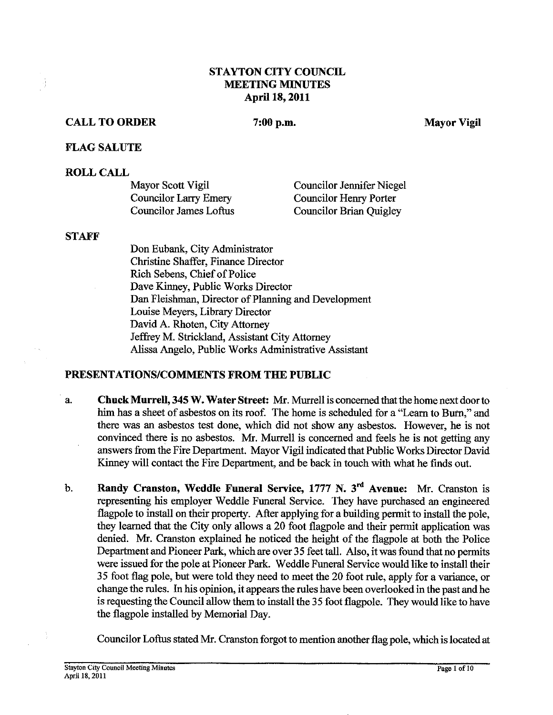## **STAYTON CITY COUNCIL MEETING MINUTES April 18,2011**

## **CALL TO ORDER**

 $7:00$  p.m.

**Mayor** Vigil

#### **FLAG SALUTE**

#### **ROLL CALL**

| Mayor Scott Vigil             | <b>Councilor Jennifer Niegel</b> |
|-------------------------------|----------------------------------|
| Councilor Larry Emery         | Councilor Henry Porter           |
| <b>Councilor James Loftus</b> | Councilor Brian Quigley          |

#### **STAFF**

÷)

Don Eubank, City Administrator Christine Shaffer, Finance Director Rich Sebens, Chief of Police Dave Kinney, Public Works Director Dan Fleishman, Director of Planning and Development Louise Meyers, Library Director David A. Rhoten, City Attorney Jeffiey M. Strickland, Assistant City Attorney Alissa Angelo, Public Works Administrative Assistant

## **PRESENTATIONSICOMMENTS FROM THE PUBLIC**

- a. **Chuck MurreU, 345 W. Water Street: Mr.** Murrell is concerned that the home next door to him has a sheet of asbestos on its roof. The home is scheduled for a "Learn to Burn," and there was an asbestos test done, which did not show any asbestos. However, he is not convinced there is no asbestos. Mr. Murrell is concerned and feels he is not getting any answers from the Fire Department. Mayor Vigil indicated that Public Works Diector David Kinney will contact the Fire Department, and be back in touch with what he finds out.
- b. **Randy Cranston, Weddle Funeral Service, 1777 N. 3<sup>rd</sup> Avenue: Mr. Cranston is** representing his employer Weddle Funeral Service. They have purchased an engineered flagpole to install on their property. After applying for a building permit to install the pole, they learned that the City only allows a 20 foot flagpole and their permit application was denied. Mr. Cranston explained he noticed the height of the flagpole at both the Police Department and Pioneer Park, which are over 35 feet tall. Also, it was found that no permits were issued for the pole at Pioneer Park. Weddle Funeral Service would like to install their 35 foot flag pole, but were told they need to meet the 20 foot rule, apply for a variance, or change the rules. In his opinion, it appears the rules have been overlooked in the past and he is requesting the Council allow them to install the 35 foot flagpole. They would like to have the flagpole installed by Memorial Day.

Councilor Loftus stated Mr. Cranston forgot to mention another flag pole, which is located at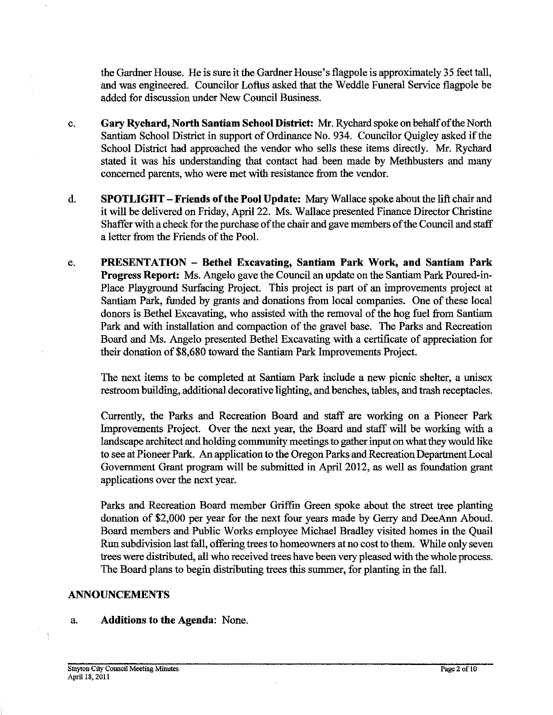the Gardner House. He is sure it the Gardner House's flagpole is approximately 35 feet tall, and was engineered. Councilor Loftus asked that the Weddle Funeral Service flagpole be added for discussion under New Council Business.

- c. **Gary Rychard, North Santiam School District:** Mr. Rychard spoke on behalf of the North Santiam School District in support of Ordinance No. 934. Councilor Quigley asked if the School District had approached the vendor who sells these items directly. Mr. Rychard stated it was his understanding that contact had been made by Methbusters and many concerned parents, who were met with resistance from the vendor.
- d. **SPOTLIGHT -Friends of the Pool Update:** Mary Wallace spoke about the lift chair and it will be delivered on Friday, April 22. Ms. Wallace presented Finance Director Christine Shaffer with a check for the purchase of the chair and gave members of the Council and staff a letter from the Friends of the Pool.
- e. **PRESENTATION Bethel Excavating, Santiam Park Work, and Santiam Park Progress Report:** Ms. Angelo gave the Council an update on the Santiam Park Poured-in-Place Playground Surfacing Project. This project is part of an improvements project at Santiam Park, funded by grants and donations from local companies. One of these local donors is Bethel Excavating, who assisted with the removal of the hog fuel from Santiam Park and with installation and compaction of the gravel base. The Parks and Recreation Board and Ms. Angelo presented Bethel Excavating with a certificate of appreciation for their donation of \$8,680 toward the Santiam Park Improvements Project.

The next items to be completed at Santiam Park include a new picnic shelter, a unisex restroom building, additional decorative lighting, and benches, tables, and trash receptacles.

Currently, the Parks and Recreation Board and staff are working on a Pioneer Park Improvements Project. Over the next year, the Board and staff will be working with a landscape architect and holding community meetings to gather input on what they would like to see at Pioneer Park. An application to the Oregon Parks and Recreation Department Local Government Grant program will be submitted in April 2012, as well as foundation grant applications over the next year.

Parks and Recreation Board member Griffin Green spoke about the street tree planting donation of \$2,000 per year for the next four years made by Gerry and DeeAnn Aboud. Board members and Public Works employee Michael Bradley visited homes in the Quail Run subdivision last fall, offering trees to homeowners at no cost to them. While only seven trees were distributed, all who received trees have been very pleased with the whole process. The Board plans to begin distributing trees this summer, for planting in the fall.

#### **ANNOUNCEMENTS**

#### a. **Additions to the Agenda:** None.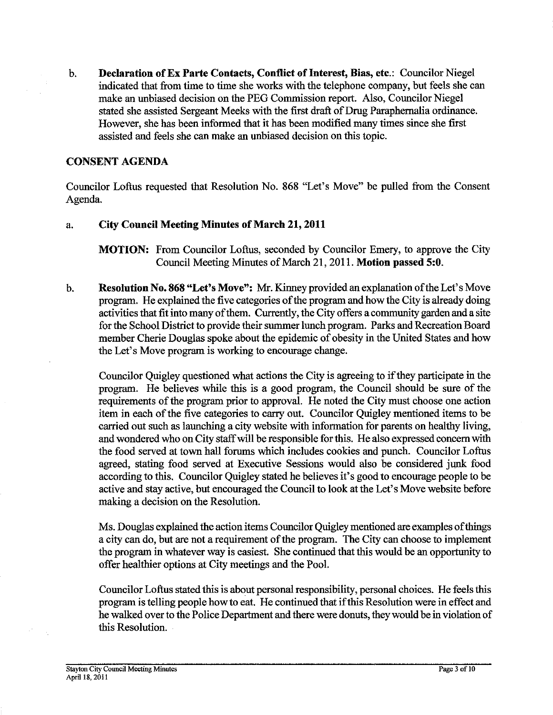b. **Declaration of Ex Parte Contacts, Conflict of Interest, Bias, etc.:** Councilor Niegel indicated that from time to time she works with the telephone company, but feels she can make an unbiased decision on the PEG Commission report. Also, Councilor Niegel stated she assisted Sergeant Meeks with the first draft of Drug Paraphernalia ordinance. However, she has been informed that it has been modified many times since she first assisted and feels she can make an unbiased decision on this topic.

## **CONSENT AGENDA**

Councilor Loftus requested that Resolution No. 868 "Let's Move" be pulled from the Consent Agenda.

## a. **City Council Meeting Minutes of March 21,2011**

**MOTION:** From Councilor Loftus, seconded by Councilor Emery, to approve the City Council Meeting Minutes of March 21,201 1. **Motion passed 5:O.** 

b. **Resolution No. 868 "Let's Move":** Mr. Kinney provided an explanation of the Let's Move program. He explained the five categories of the program and how the City is already doing activities that fit into many of them. Currently, the City offers a community garden and a site for the School District to provide their summer lunch program. Parks and Recreation Board member Cherie Douglas spoke about the epidemic of obesity in the United States and how the Let's Move program is working to encourage change.

Councilor Quigley questioned what actions the City is agreeing to if they participate in the program. He believes while this is a good program, the Council should be sure of the requirements of the program prior to approval. He noted the City must choose one action item in each of the five categories to carry out. Councilor Quigley mentioned items to be carried out such as launching a city website with information for parents on healthy living, and wondered who on City staffwill be responsible for this. He also expressed concern with the food sewed at town hall fonuns which includes cookies and punch. Councilor Loftus agreed, stating food served at Executive Sessions would also be considered junk food according to this. Councilor Quigley stated he believes it's good to encourage people to be active and stay active, but encouraged the Council to look at the Let's Move website before making a decision on the Resolution.

Ms. Douglas explained the action items Councilor Quigley mentioned are examples of things a city can do, but are not a requirement of the program. The City can choose to implement the program in whatever way is easiest. She continued that this would be an opportunity to offer healthier options at City meetings and the Pool.

Councilor Loftus stated this is about personal responsibility, personal choices. He feels this program is telling people how to eat. He continued that if this Resolution were in effect and he walked over to the Police Department and there were donuts, they would be in violation of this Resolution.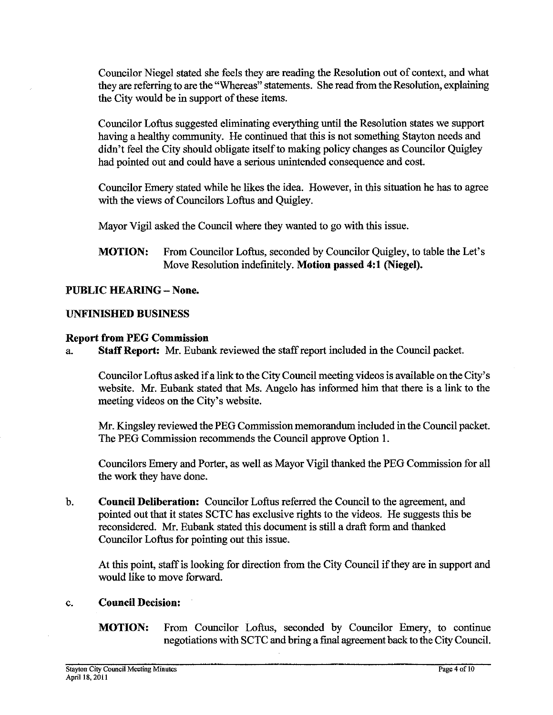Councilor Niegel stated she feels they are reading the Resolution out of context, and what they are referring to are the "Whereas" statements. She read from the Resolution, explaining the City would be in support of these items.

Councilor Loftus suggested eliminating everything until the Resolution states we support didn't feel the City should obligate itself to making policy changes as Councilor Quigley had pointed out and could have a serious unintended consequence and cost.

Councilor Emery stated while he likes the idea. However, in this situation he has to agree with the views of Councilors Loftus and Quigley.

Mayor Vigil asked the Council where they wanted to go with this issue.

**MOTION:** From Councilor Loftus, seconded by Councilor Quigley, to table the Let's Move Resolution indefinitely. **Motion passed 4:l (Niegel).** 

## **PUBLIC HEARING** - **None.**

## **UNFINISHED BUSINESS**

## **Report from PEG Commission**

a. **Staff Report: Mr.** Eubank reviewed the staff report included in the Council packet.

Councilor Loftus asked if a link to the City Council meeting videos is available on the City's website. Mr. Eubank stated that Ms. Angelo has informed him that there is a link to the meeting videos on the City's website.

Mr. Kingsley reviewed the PEG Commission memorandum included in the Council packet. The PEG Commission recommends the Council approve Option 1.

Councilors Emery and Porter, as well as Mayor Vigil thanked the PEG Commission for all the work they have done.

b. **Council Deliberation:** Councilor Loftus referred the Council to the agreement, and pointed out that it states SCTC has exclusive rights to the videos. He suggests this be reconsidered. Mr. Eubank stated this document is still a draft form and thanked Councilor Loftus for pointing out this issue.

At this point, staff is looking for direction from the City Council if they are in support and would like to move forward.

## c. **Council Decision:**

**MOTION:** From Councilor Loftus, seconded by Councilor Emery, to continue negotiations with SCTC and bring a final agreement back to the City Council.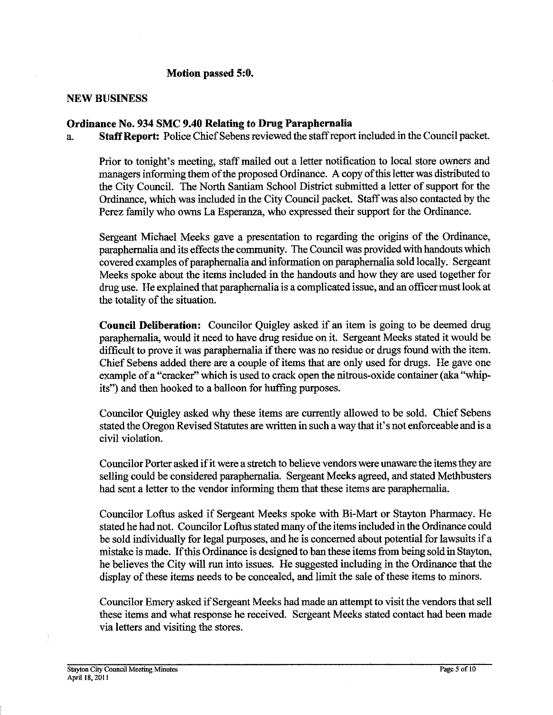## Motion passed 5:0.

#### **NEW BUSINESS**

## **Ordinance No. 934 SMC 9.40 Relating to Drug Paraphernalia**

a. **Staff Report:** Police Chief Sebens reviewed the staff report included in the Council packet.

Prior to tonight's meeting, staff mailed out a letter notification to local store owners and managers informing them of the proposed Ordinance. A copy of this letter was distributed to the City Council. The North Santiam School District submitted a letter of support for the Ordinance, which was included in the City Council packet. Staff was also contacted by the Perez family who owns La Esperanza, who expressed their support for the Ordinance.

Sergeant Michael Meeks gave a presentation to regarding the origins of the Ordinance, paraphernalia and its effects the community. The Council was provided with handouts which covered examples of paraphernalia and information on paraphernalia sold locally. Sergeant Meeks spoke about the items included in the handouts and how they are used together for drug use. He explained that paraphernalia is a complicated issue, and an oficer must look at the totality of the situation.

**Council Deliberation:** Councilor Quigley asked if an item is going to be deemed drug paraphernalia, would it need to have drug residue on it. Sergeant Meeks stated it would be difficult to prove it was paraphernalia if there was no residue or drugs found with the item. Chief Sebens added there are a couple of items that are only used for drugs. He gave one example of a "cracker" which is used to crack open the nitrous-oxide container (aka "whipits") and then hooked to a balloon for huffing purposes.

Councilor Quigley asked why these items are currently allowed to be sold. Chief Sebens stated the Oregon Revised Statutes are written in such a way that it's not enforceable and is a civil violation.

Councilor Porter asked if it were a stretch to believe vendors were unaware the items they are selling could be considered paraphernalia. Sergeant Meeks agreed, and stated Methbusters had sent a letter to the vendor informing them that these items are paraphernalia.

Councilor Loftus asked if Sergeant Meeks spoke with Bi-Mart or Stayton Pharmacy. He stated he had not. Councilor Loftus stated many of the items included inthe Ordinance could be sold individually for legal purposes, and he is concerned about potential for lawsuits if a mistake is made. Ifthis Ordinance is designed to ban these items from being sold in Stayton, he believes the City will **run** into issues. He suggested including in the Ordinance that the display of these items needs to be concealed, and limit the sale of these items to minors.

Councilor Emery asked if Sergeant Meeks had made an attempt to visit the vendors that sell these items and what response he received. Sergeant Meeks stated contact had been made via letters and visiting the stores.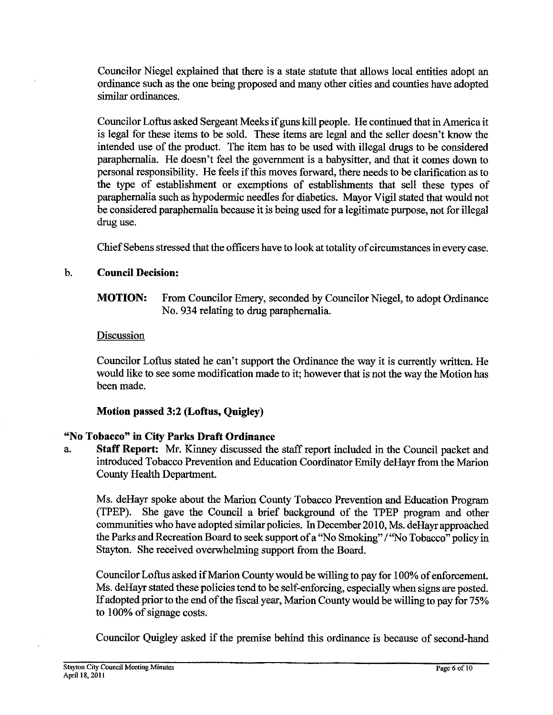Councilor Niegel explained that there is a state statute that allows local entities adopt an ordinance such as the one being proposed and many other cities and counties have adopted similar ordinances.

Councilor Loftus asked Sergeant Meeks if guns kill people. He continued that in America it is legal for these items to be sold. These items are legal and the seller doesn't know the intended use of the product. The item has to be used with illegal drugs to be considered paraphernalia. He doesn't feel the government is a babysitter, and that it comes down to personal responsibility. He feels if this moves forward, there needs to be clarification as to the type of establishment or exemptions of establishments that sell these types of paraphernalia such as hypodermic needles for diabetics. Mayor Vigil stated that would not be considered paraphernalia because it is being used for a legitimate purpose, not for illegal drug use.

Chief Sebens stressed that the officers have to look at totality of circumstances in every case.

## b. **Council Decision:**

**MOTION:** From Councilor Emery, seconded by Councilor Niegel, to adopt Ordinance No. 934 relating to drug paraphernalia.

## Discussion

Councilor Loftus stated he can't support the Ordinance the way it is currently written. He would like to see some modification made to it; however that is not the way the Motion has been made.

## **Motion passed 3:2 (Loftns, Quigley)**

## **"No Tobacco" in City Parks Draft Ordinance**

a. **Staff Report: Mr.** Kinney discussed the staff report included in the Council packet and introduced Tobacco Prevention and Education Coordinator Emily deHayr from the Marion County Health Department.

Ms. deHayr spoke about the Marion County Tobacco Prevention and Education Program (TPEP). She gave the Council a brief background of the TPEP program and other communities who have adopted similar policies. In December 2010, Ms. deHayr approached the Parks and Recreation Board to seek support of a "No Smoking" / "No Tobacco" policy in Stayton. She received overwhelming support from the Board.

Councilor Loftus asked if Marion County would be willing to pay for 100% of enforcement. Ms. deHayr stated these policies tend to be self-enforcing, especially when signs are posted. If adopted prior to the end of the fiscal year, Marion County would be willing to pay for 75% to 100% of signage costs.

Councilor Quigley asked if the premise behind this ordinance is because of second-hand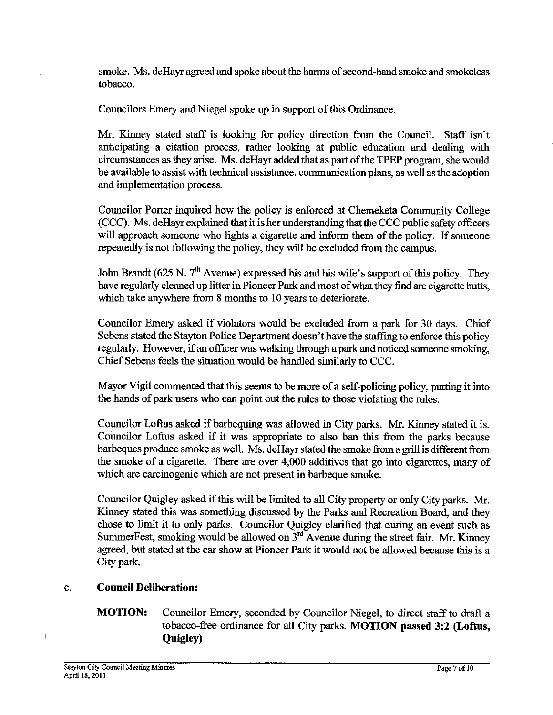smoke. Ms. deHayr agreed and spoke about the harms of second-hand smoke and smokeless tobacco.

Councilors Emery and Niegel spoke up in support of this Ordimance.

Mr. Kinney stated staff is looking for policy direction from the Council. Staff isn't anticipating a citation process, rather looking at public education and dealing with circumstances as they arise. Ms. deHayr added that as part of the TPEP program, she would be available to assist with technical assistance, communication plans, as well as the adoption and implementation process.

Councilor Porter inquired how the policy is enforced at Chemeketa Community College (CCC). Ms. deHayr explained that it is her understanding that the CCC public safety officers will approach someone who lights a cigarette and inform them of the policy. If someone repeatedly is not following the policy, they will be excluded from the campus.

John Brandt (625 N. *7th* Avenue) expressed his and his wife's support of this policy. They have regularly cleaned up litter in Pioneer Park and most of what they find are cigarette butts, which take anywhere from 8 months to 10 years to deteriorate.

Councilor Emery asked if violators would be excluded from a park for 30 days. Chief Sebens stated the Stayton Police Department doesn't have the staffing to enforce this policy regularly. However, if an officer was walking through a park and noticed someone smoking, Chief Sebens feels the situation would be handled similarly to CCC.

Mayor Vigil commented that this seems to be more of a self-policing policy, putting it into the hands of park users who **can** point out the rules to those violating the rules.

Councilor Loftus asked if barbequing was allowed in City parks. Mr. Kinney stated it is. Councilor Loftus asked if it was appropriate to also ban this from the parks because barbeques produce smoke as well. Ms. deHayr stated the smoke from a grill is different from the smoke of a cigarette. There are over 4,000 additives that go into cigarettes, many of which are carcinogenic which are not present in barbeque smoke.

Councilor Quigley asked if this will be limited to all City property or only City parks. Mr. Kinney stated this was something discussed by the Parks and Recreation Board, and they chose to limit it to only parks. Councilor Quigley clarified that during an event such as SummerFest, smoking would be allowed on  $3<sup>rd</sup>$  Avenue during the street fair. Mr. Kinney agreed, but stated at the car show at Pioneer Park it would not be allowed because this is a City park.

## c. **Council Deliberation:**

## **MOTION:** Councilor Emery, seconded by Councilor Niegel, to direct staff to draft a tobacco-free ordinance for all City parks. **MOTION** passed 3:2 (Loftus, **QuigIey)**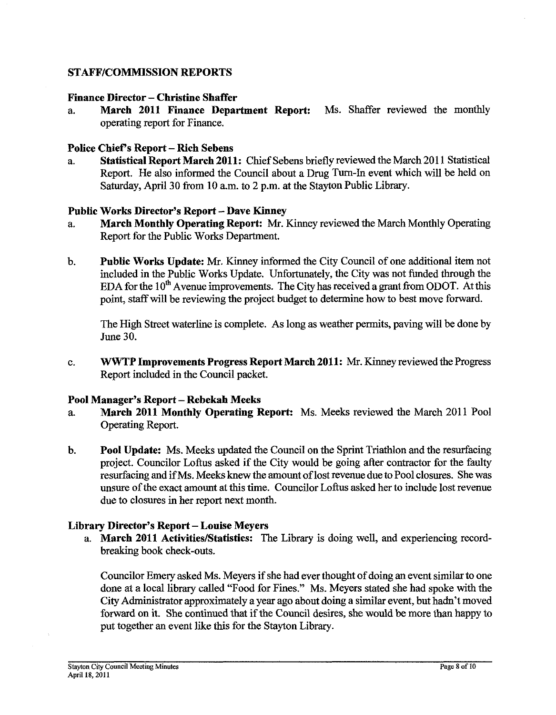## **STAFFICOMMISSION REPORTS**

# **Finance Director – Christine Shaffer**<br>**a. March 2011 Finance Depay**

**March 2011 Finance Department Report:** Ms. Shaffer reviewed the monthly operating report for Finance.

#### **Police Chief's Report** - **Rich Sebens**

a. **Statistical Report March 2011:** Chief Sebens briefly reviewed the March 201 1 Statistical Report. He also informed the Council about a Drug Turn-In event which will be held on Saturday, April 30 from 10 a.m. to 2 p.m. at the Stayton Public Library.

#### **Public Works Director's Report** - **Dave Kinney**

- a. **March Monthly Operating Report: Mr.** Kinney reviewed the March Monthly Operating Report for the Public Works Department.
- b. **Public Works Update: Mr.** Kinney informed the City Council of one additional item not included in the Public Works Update. Unfortunately, the City was not funded through the EDA for the  $10<sup>th</sup>$  Avenue improvements. The City has received a grant from ODOT. At this point, staff will be reviewing the project budget to determine how to best move fonvard.

The High Street waterline is complete. As long as weather permits, paving will be done by June 30.

c. **WWTP Improvements Progress Report March 2011: Mr.** Kinney reviewed the Progress Report included in the Council packet.

## **Pool Manager's Report** - **Rebekah Meeks**

- a. **March 2011 Monthly Operating Report:** Ms. Meeks reviewed the March 2011 Pool Operating Report.
- b. **Pool Update:** Ms. Meeks updated the Council on the Sprint Triathlon and the resurfacing project. Councilor Loftus asked if the City would be going after contractor for the faulty resurfacing and if Ms. Meeks knewthe amount of lost revenue due to Pool closures. She was unsure of the exact amount at this time. Councilor Loftus asked her to include lost revenue due to closures in her report next month.

## **Library Director's Report** - **Louise Meyers**

a. **March 2011 Activities/Statistics:** The Library is doing well, and experiencing recordbreaking book check-outs.

Councilor Emery asked Ms. Meyers if she had ever thought of doing an event similar to one done at a local library called "Food for Fines." Ms. Meyers stated she had spoke with the City Administrator approximately a year ago about doing a similar event, but hadn't moved forward on it. She continued that if the Council desires, she would be more than happy to put together an event like this for the Stayton Library.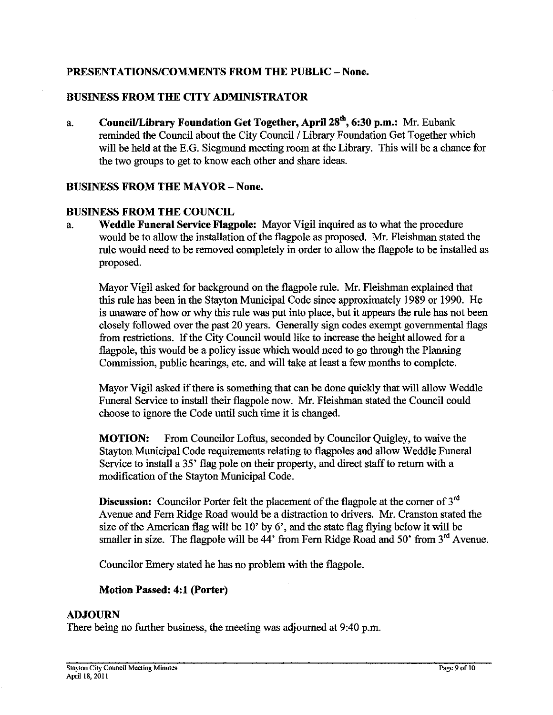## PRESENTATIONS/COMMENTS FROM THE PUBLIC - None.

## **BUSINESS FROM THE CITY ADMINISTRATOR**

a. **CounciVLibrary Foundation Get Together, April 2stb, 6:30 p.m.:** Mr. Eubank reminded the Council about the City Council / Library Foundation Get Together which will be held at the E.G. Siegmund meeting room at the Library. This will be a chance for the two groups to get to know each other and share ideas.

#### **BUSINESS FROM THE MAYOR - None.**

#### **BUSINESS FROM THE COUNCIL**

a. **Weddle Funeral Service Flagpole:** Mayor Vigil inquired as to what the procedure would be to allow the installation of the flagpole as proposed. Mr. Fleishman stated the rule would need to be removed completely in order to allow the flagpole to be installed as proposed.

Mayor Vigil asked for background on the flagpole rule. Mr. Fleishman explained that this rule has been in the Stayton Municipal Code since approximately 1989 or **1990.** He is unaware of how or why this rule was put into place, but it appears the rule has not been closely followed over the past 20 years. Generally sign codes exempt governmental flags from restrictions. If the City Council would like to increase the height allowed for a flagpole, this would be a policy issue which would need to go through the Planning Commission, public hearings, etc. and will take at least a few months to complete.

Mayor Vigil asked if there is something that can be done quickly that will allow Weddle Funeral Service to install their flagpole now. Mr. Fleishman stated the Council could choose to ignore the Code until such time it is changed.

**MOTION:** From Councilor Loftus, seconded by Councilor Quigley, to waive the Stayton Municipal Code requirements relating to flagpoles and allow Weddle Funeral Service to install a 35' flag pole on their property, and direct staff to return with a modification of the Stayton Municipal Code.

**Discussion:** Councilor Porter felt the placement of the flagpole at the corner of 3<sup>rd</sup> Avenue and Fern Ridge Road would be a distraction to drivers. Mr. Cranston stated the size of the American flag will be **10'** by *6',* and the state flag flying below it will be smaller in size. The flagpole will be 44' from Fern Ridge Road and 50' from 3<sup>rd</sup> Avenue.

Councilor Emery stated he has no problem with the flagpole.

## **Motion Passed: 4:l (Porter)**

#### **ADJOURN**

There being no further business, the meeting was adjourned at **9:40** p.m.